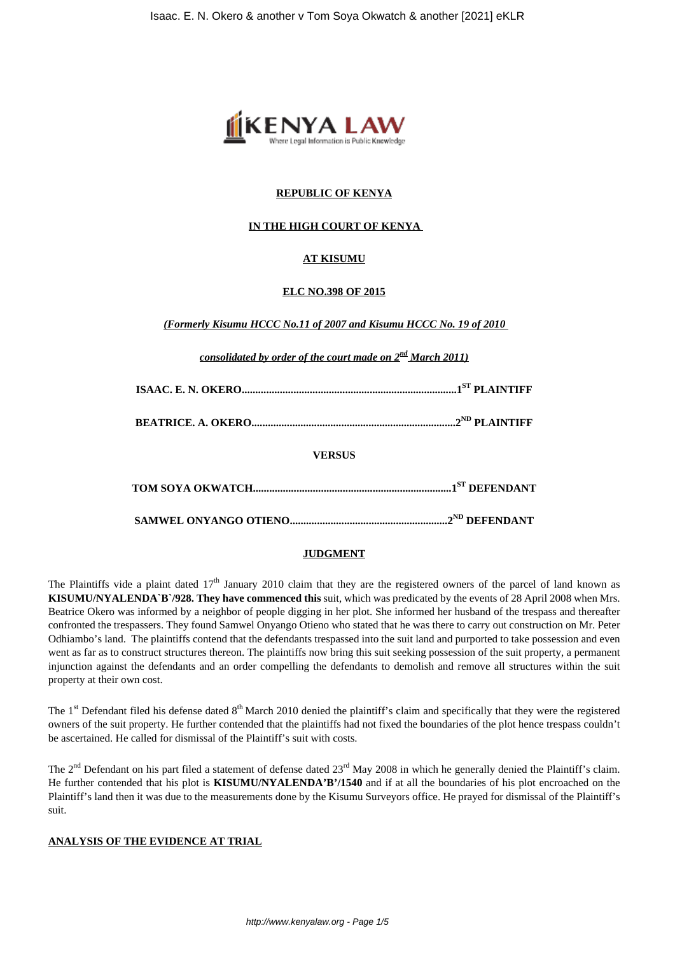

# **REPUBLIC OF KENYA**

# **IN THE HIGH COURT OF KENYA**

# **AT KISUMU**

#### **ELC NO.398 OF 2015**

*(Formerly Kisumu HCCC No.11 of 2007 and Kisumu HCCC No. 19 of 2010*

*consolidated by order of the court made on 2nd March 2011)*

|--|--|--|--|--|--|

**BEATRICE. A. OKERO...........................................................................2ND PLAINTIFF**

**VERSUS**

# **JUDGMENT**

The Plaintiffs vide a plaint dated  $17<sup>th</sup>$  January 2010 claim that they are the registered owners of the parcel of land known as **KISUMU/NYALENDA`B`/928. They have commenced this** suit, which was predicated by the events of 28 April 2008 when Mrs. Beatrice Okero was informed by a neighbor of people digging in her plot. She informed her husband of the trespass and thereafter confronted the trespassers. They found Samwel Onyango Otieno who stated that he was there to carry out construction on Mr. Peter Odhiambo's land. The plaintiffs contend that the defendants trespassed into the suit land and purported to take possession and even went as far as to construct structures thereon. The plaintiffs now bring this suit seeking possession of the suit property, a permanent injunction against the defendants and an order compelling the defendants to demolish and remove all structures within the suit property at their own cost.

The  $1<sup>st</sup>$  Defendant filed his defense dated  $8<sup>th</sup>$  March 2010 denied the plaintiff's claim and specifically that they were the registered owners of the suit property. He further contended that the plaintiffs had not fixed the boundaries of the plot hence trespass couldn't be ascertained. He called for dismissal of the Plaintiff's suit with costs.

The  $2<sup>nd</sup>$  Defendant on his part filed a statement of defense dated  $23<sup>rd</sup>$  May 2008 in which he generally denied the Plaintiff's claim. He further contended that his plot is **KISUMU/NYALENDA'B'/1540** and if at all the boundaries of his plot encroached on the Plaintiff's land then it was due to the measurements done by the Kisumu Surveyors office. He prayed for dismissal of the Plaintiff's suit.

#### **ANALYSIS OF THE EVIDENCE AT TRIAL**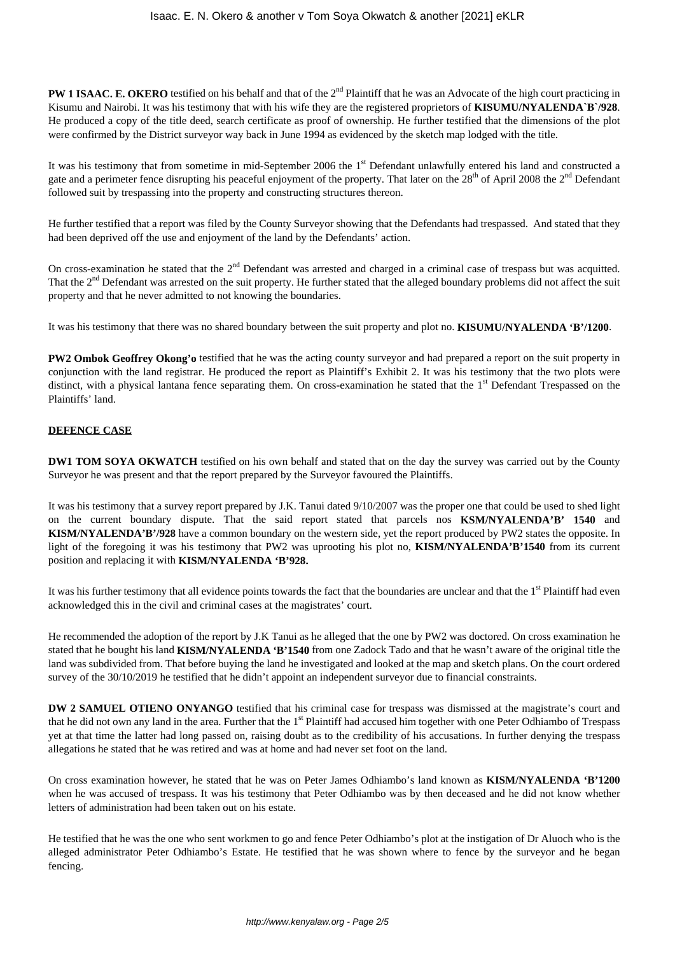**PW 1 ISAAC. E. OKERO** testified on his behalf and that of the 2<sup>nd</sup> Plaintiff that he was an Advocate of the high court practicing in Kisumu and Nairobi. It was his testimony that with his wife they are the registered proprietors of **KISUMU/NYALENDA`B`/928**. He produced a copy of the title deed, search certificate as proof of ownership. He further testified that the dimensions of the plot were confirmed by the District surveyor way back in June 1994 as evidenced by the sketch map lodged with the title.

It was his testimony that from sometime in mid-September 2006 the 1<sup>st</sup> Defendant unlawfully entered his land and constructed a gate and a perimeter fence disrupting his peaceful enjoyment of the property. That later on the 28<sup>th</sup> of April 2008 the 2<sup>nd</sup> Defendant followed suit by trespassing into the property and constructing structures thereon.

He further testified that a report was filed by the County Surveyor showing that the Defendants had trespassed. And stated that they had been deprived off the use and enjoyment of the land by the Defendants' action.

On cross-examination he stated that the  $2<sup>nd</sup>$  Defendant was arrested and charged in a criminal case of trespass but was acquitted. That the 2<sup>nd</sup> Defendant was arrested on the suit property. He further stated that the alleged boundary problems did not affect the suit property and that he never admitted to not knowing the boundaries.

It was his testimony that there was no shared boundary between the suit property and plot no. **KISUMU/NYALENDA 'B'/1200**.

**PW2 Ombok Geoffrey Okong'o** testified that he was the acting county surveyor and had prepared a report on the suit property in conjunction with the land registrar. He produced the report as Plaintiff's Exhibit 2. It was his testimony that the two plots were distinct, with a physical lantana fence separating them. On cross-examination he stated that the 1<sup>st</sup> Defendant Trespassed on the Plaintiffs' land.

### **DEFENCE CASE**

**DW1 TOM SOYA OKWATCH** testified on his own behalf and stated that on the day the survey was carried out by the County Surveyor he was present and that the report prepared by the Surveyor favoured the Plaintiffs.

It was his testimony that a survey report prepared by J.K. Tanui dated 9/10/2007 was the proper one that could be used to shed light on the current boundary dispute. That the said report stated that parcels nos **KSM/NYALENDA'B' 1540** and **KISM/NYALENDA'B'/928** have a common boundary on the western side, yet the report produced by PW2 states the opposite. In light of the foregoing it was his testimony that PW2 was uprooting his plot no, **KISM/NYALENDA'B'1540** from its current position and replacing it with **KISM/NYALENDA 'B'928.**

It was his further testimony that all evidence points towards the fact that the boundaries are unclear and that the  $1<sup>st</sup>$  Plaintiff had even acknowledged this in the civil and criminal cases at the magistrates' court.

He recommended the adoption of the report by J.K Tanui as he alleged that the one by PW2 was doctored. On cross examination he stated that he bought his land **KISM/NYALENDA 'B'1540** from one Zadock Tado and that he wasn't aware of the original title the land was subdivided from. That before buying the land he investigated and looked at the map and sketch plans. On the court ordered survey of the 30/10/2019 he testified that he didn't appoint an independent survey or due to financial constraints.

**DW 2 SAMUEL OTIENO ONYANGO** testified that his criminal case for trespass was dismissed at the magistrate's court and that he did not own any land in the area. Further that the 1<sup>st</sup> Plaintiff had accused him together with one Peter Odhiambo of Trespass yet at that time the latter had long passed on, raising doubt as to the credibility of his accusations. In further denying the trespass allegations he stated that he was retired and was at home and had never set foot on the land.

On cross examination however, he stated that he was on Peter James Odhiambo's land known as **KISM/NYALENDA 'B'1200** when he was accused of trespass. It was his testimony that Peter Odhiambo was by then deceased and he did not know whether letters of administration had been taken out on his estate.

He testified that he was the one who sent workmen to go and fence Peter Odhiambo's plot at the instigation of Dr Aluoch who is the alleged administrator Peter Odhiambo's Estate. He testified that he was shown where to fence by the surveyor and he began fencing.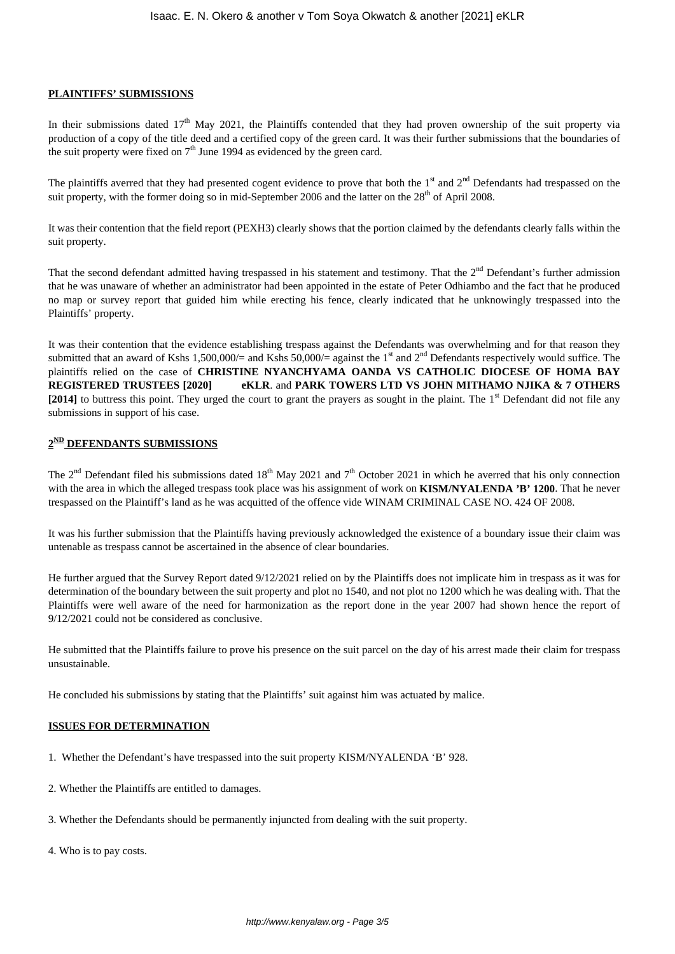### **PLAINTIFFS' SUBMISSIONS**

In their submissions dated  $17<sup>th</sup>$  May 2021, the Plaintiffs contended that they had proven ownership of the suit property via production of a copy of the title deed and a certified copy of the green card. It was their further submissions that the boundaries of the suit property were fixed on  $7<sup>th</sup>$  June 1994 as evidenced by the green card.

The plaintiffs averred that they had presented cogent evidence to prove that both the 1<sup>st</sup> and 2<sup>nd</sup> Defendants had trespassed on the suit property, with the former doing so in mid-September 2006 and the latter on the 28<sup>th</sup> of April 2008.

It was their contention that the field report (PEXH3) clearly shows that the portion claimed by the defendants clearly falls within the suit property.

That the second defendant admitted having trespassed in his statement and testimony. That the 2<sup>nd</sup> Defendant's further admission that he was unaware of whether an administrator had been appointed in the estate of Peter Odhiambo and the fact that he produced no map or survey report that guided him while erecting his fence, clearly indicated that he unknowingly trespassed into the Plaintiffs' property.

It was their contention that the evidence establishing trespass against the Defendants was overwhelming and for that reason they submitted that an award of Kshs 1,500,000/= and Kshs 50,000/= against the 1<sup>st</sup> and 2<sup>nd</sup> Defendants respectively would suffice. The plaintiffs relied on the case of **CHRISTINE NYANCHYAMA OANDA VS CATHOLIC DIOCESE OF HOMA BAY REGISTERED TRUSTEES [2020] eKLR**. and **PARK TOWERS LTD VS JOHN MITHAMO NJIKA & 7 OTHERS [2014]** to buttress this point. They urged the court to grant the prayers as sought in the plaint. The 1<sup>st</sup> Defendant did not file any submissions in support of his case.

### **2 ND DEFENDANTS SUBMISSIONS**

The  $2<sup>nd</sup>$  Defendant filed his submissions dated 18<sup>th</sup> May 2021 and  $7<sup>th</sup>$  October 2021 in which he averred that his only connection with the area in which the alleged trespass took place was his assignment of work on **KISM/NYALENDA 'B' 1200**. That he never trespassed on the Plaintiff's land as he was acquitted of the offence vide WINAM CRIMINAL CASE NO. 424 OF 2008.

It was his further submission that the Plaintiffs having previously acknowledged the existence of a boundary issue their claim was untenable as trespass cannot be ascertained in the absence of clear boundaries.

He further argued that the Survey Report dated 9/12/2021 relied on by the Plaintiffs does not implicate him in trespass as it was for determination of the boundary between the suit property and plot no 1540, and not plot no 1200 which he was dealing with. That the Plaintiffs were well aware of the need for harmonization as the report done in the year 2007 had shown hence the report of 9/12/2021 could not be considered as conclusive.

He submitted that the Plaintiffs failure to prove his presence on the suit parcel on the day of his arrest made their claim for trespass unsustainable.

He concluded his submissions by stating that the Plaintiffs' suit against him was actuated by malice.

#### **ISSUES FOR DETERMINATION**

- 1. Whether the Defendant's have trespassed into the suit property KISM/NYALENDA 'B' 928.
- 2. Whether the Plaintiffs are entitled to damages.
- 3. Whether the Defendants should be permanently injuncted from dealing with the suit property.
- 4. Who is to pay costs.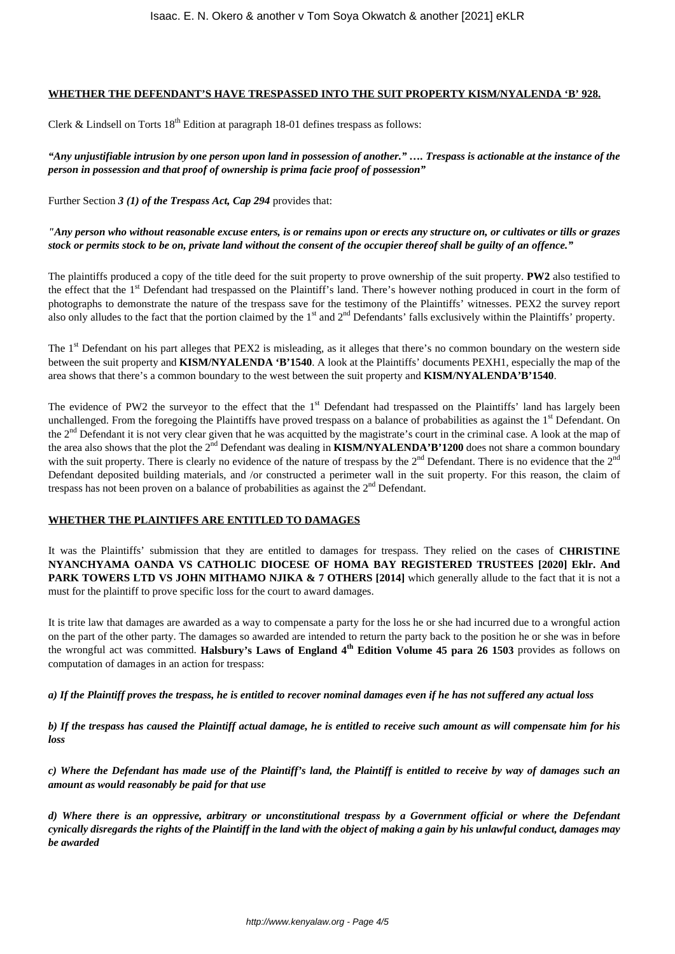# **WHETHER THE DEFENDANT'S HAVE TRESPASSED INTO THE SUIT PROPERTY KISM/NYALENDA 'B' 928.**

Clerk & Lindsell on Torts  $18<sup>th</sup>$  Edition at paragraph 18-01 defines trespass as follows:

*"Any unjustifiable intrusion by one person upon land in possession of another." …. Trespass is actionable at the instance of the person in possession and that proof of ownership is prima facie proof of possession"*

Further Section *3 (1) of the Trespass Act, Cap 294* provides that:

### *"Any person who without reasonable excuse enters, is or remains upon or erects any structure on, or cultivates or tills or grazes stock or permits stock to be on, private land without the consent of the occupier thereof shall be guilty of an offence."*

The plaintiffs produced a copy of the title deed for the suit property to prove ownership of the suit property. **PW2** also testified to the effect that the 1<sup>st</sup> Defendant had trespassed on the Plaintiff's land. There's however nothing produced in court in the form of photographs to demonstrate the nature of the trespass save for the testimony of the Plaintiffs' witnesses. PEX2 the survey report also only alludes to the fact that the portion claimed by the  $1<sup>st</sup>$  and  $2<sup>nd</sup>$  Defendants' falls exclusively within the Plaintiffs' property.

The 1<sup>st</sup> Defendant on his part alleges that PEX2 is misleading, as it alleges that there's no common boundary on the western side between the suit property and **KISM/NYALENDA 'B'1540**. A look at the Plaintiffs' documents PEXH1, especially the map of the area shows that there's a common boundary to the west between the suit property and **KISM/NYALENDA'B'1540**.

The evidence of PW2 the surveyor to the effect that the  $1<sup>st</sup>$  Defendant had trespassed on the Plaintiffs' land has largely been unchallenged. From the foregoing the Plaintiffs have proved trespass on a balance of probabilities as against the  $1<sup>st</sup>$  Defendant. On the 2<sup>nd</sup> Defendant it is not very clear given that he was acquitted by the magistrate's court in the criminal case. A look at the map of the area also shows that the plot the 2<sup>nd</sup> Defendant was dealing in **KISM/NYALENDA'B'1200** does not share a common boundary with the suit property. There is clearly no evidence of the nature of trespass by the  $2<sup>nd</sup>$  Defendant. There is no evidence that the  $2<sup>nd</sup>$ Defendant deposited building materials, and /or constructed a perimeter wall in the suit property. For this reason, the claim of trespass has not been proven on a balance of probabilities as against the  $2<sup>nd</sup>$  Defendant.

### **WHETHER THE PLAINTIFFS ARE ENTITLED TO DAMAGES**

It was the Plaintiffs' submission that they are entitled to damages for trespass. They relied on the cases of **CHRISTINE NYANCHYAMA OANDA VS CATHOLIC DIOCESE OF HOMA BAY REGISTERED TRUSTEES [2020] Eklr. And PARK TOWERS LTD VS JOHN MITHAMO NJIKA & 7 OTHERS [2014]** which generally allude to the fact that it is not a must for the plaintiff to prove specific loss for the court to award damages.

It is trite law that damages are awarded as a way to compensate a party for the loss he or she had incurred due to a wrongful action on the part of the other party. The damages so awarded are intended to return the party back to the position he or she was in before the wrongful act was committed. **Halsbury's Laws of England 4<sup>th</sup> Edition Volume 45 para 26 1503** provides as follows on computation of damages in an action for trespass:

*a) If the Plaintiff proves the trespass, he is entitled to recover nominal damages even if he has not suffered any actual loss*

*b) If the trespass has caused the Plaintiff actual damage, he is entitled to receive such amount as will compensate him for his loss*

*c) Where the Defendant has made use of the Plaintiff's land, the Plaintiff is entitled to receive by way of damages such an amount as would reasonably be paid for that use*

*d) Where there is an oppressive, arbitrary or unconstitutional trespass by a Government official or where the Defendant cynically disregards the rights of the Plaintiff in the land with the object of making a gain by his unlawful conduct, damages may be awarded*